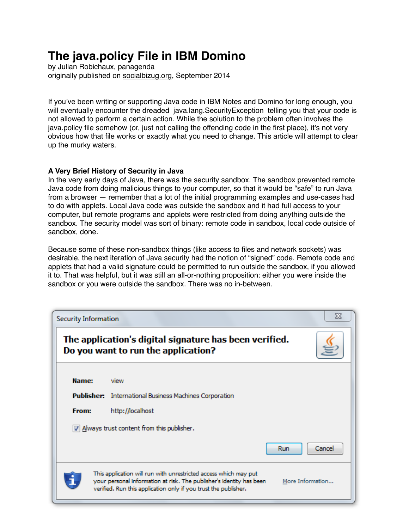# **The java.policy File in IBM Domino**

by Julian Robichaux, panagenda originally published on [socialbizug.org](http://socialbizug.org), September 2014

If you've been writing or supporting Java code in IBM Notes and Domino for long enough, you will eventually encounter the dreaded java.lang.SecurityException telling you that your code is not allowed to perform a certain action. While the solution to the problem often involves the java.policy file somehow (or, just not calling the offending code in the first place), it's not very obvious how that file works or exactly what you need to change. This article will attempt to clear up the murky waters.

# **A Very Brief History of Security in Java**

In the very early days of Java, there was the security sandbox. The sandbox prevented remote Java code from doing malicious things to your computer, so that it would be "safe" to run Java from a browser — remember that a lot of the initial programming examples and use-cases had to do with applets. Local Java code was outside the sandbox and it had full access to your computer, but remote programs and applets were restricted from doing anything outside the sandbox. The security model was sort of binary: remote code in sandbox, local code outside of sandbox, done.

Because some of these non-sandbox things (like access to files and network sockets) was desirable, the next iteration of Java security had the notion of "signed" code. Remote code and applets that had a valid signature could be permitted to run outside the sandbox, if you allowed it to. That was helpful, but it was still an all-or-nothing proposition: either you were inside the sandbox or you were outside the sandbox. There was no in-between.

| X<br>Security Information                                                                                                                                                                                                       |                                                                            |  |
|---------------------------------------------------------------------------------------------------------------------------------------------------------------------------------------------------------------------------------|----------------------------------------------------------------------------|--|
| The application's digital signature has been verified.<br>Do you want to run the application?                                                                                                                                   |                                                                            |  |
| Name:                                                                                                                                                                                                                           | view                                                                       |  |
| From:                                                                                                                                                                                                                           | Publisher: International Business Machines Corporation<br>http://localhost |  |
| $\triangledown$ Always trust content from this publisher.<br>Cancel<br>Run                                                                                                                                                      |                                                                            |  |
| This application will run with unrestricted access which may put<br>your personal information at risk. The publisher's identity has been<br>More Information<br>verified. Run this application only if you trust the publisher. |                                                                            |  |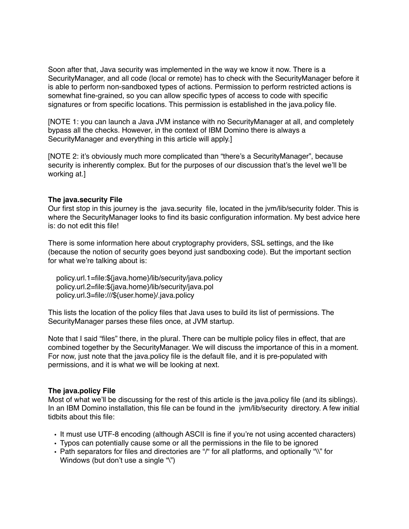Soon after that, Java security was implemented in the way we know it now. There is a SecurityManager, and all code (local or remote) has to check with the SecurityManager before it is able to perform non-sandboxed types of actions. Permission to perform restricted actions is somewhat fine-grained, so you can allow specific types of access to code with specific signatures or from specific locations. This permission is established in the java.policy file.

[NOTE 1: you can launch a Java JVM instance with no SecurityManager at all, and completely bypass all the checks. However, in the context of IBM Domino there is always a SecurityManager and everything in this article will apply.]

[NOTE 2: it's obviously much more complicated than "there's a SecurityManager", because security is inherently complex. But for the purposes of our discussion that's the level we'll be working at.]

#### **The java.security File**

Our first stop in this journey is the java.security file, located in the jvm/lib/security folder. This is where the SecurityManager looks to find its basic configuration information. My best advice here is: do not edit this file!

There is some information here about cryptography providers, SSL settings, and the like (because the notion of security goes beyond just sandboxing code). But the important section for what we're talking about is:

 policy.url.1=file:\${java.home}/lib/security/java.policy policy.url.2=file:\${java.home}/lib/security/java.pol policy.url.3=file:///\${user.home}/.java.policy

This lists the location of the policy files that Java uses to build its list of permissions. The SecurityManager parses these files once, at JVM startup.

Note that I said "files" there, in the plural. There can be multiple policy files in effect, that are combined together by the SecurityManager. We will discuss the importance of this in a moment. For now, just note that the java.policy file is the default file, and it is pre-populated with permissions, and it is what we will be looking at next.

#### **The java.policy File**

Most of what we'll be discussing for the rest of this article is the java.policy file (and its siblings). In an IBM Domino installation, this file can be found in the jvm/lib/security directory. A few initial tidbits about this file:

- It must use UTF-8 encoding (although ASCII is fine if you're not using accented characters)
- Typos can potentially cause some or all the permissions in the file to be ignored
- Path separators for files and directories are "/" for all platforms, and optionally "\\" for Windows (but don't use a single "\")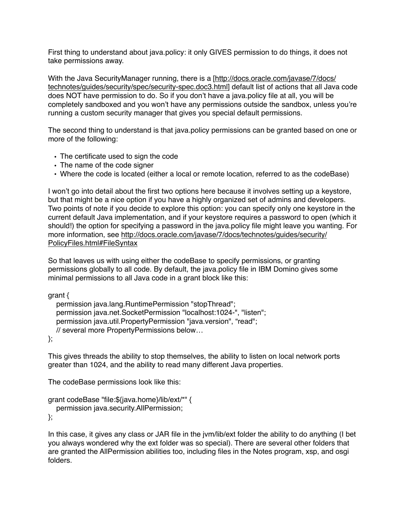First thing to understand about java.policy: it only GIVES permission to do things, it does not take permissions away.

[With the Java SecurityManager running, there is a \[http://docs.oracle.com/javase/7/docs/](http://docs.oracle.com/javase/7/docs/technotes/guides/security/spec/security-spec.doc3.html) [technotes/guides/security/spec/security-spec.doc3.html](http://docs.oracle.com/javase/7/docs/technotes/guides/security/spec/security-spec.doc3.html)] default list of actions that all Java code does NOT have permission to do. So if you don't have a java.policy file at all, you will be completely sandboxed and you won't have any permissions outside the sandbox, unless you're running a custom security manager that gives you special default permissions.

The second thing to understand is that java.policy permissions can be granted based on one or more of the following:

- The certificate used to sign the code
- The name of the code signer
- Where the code is located (either a local or remote location, referred to as the codeBase)

I won't go into detail about the first two options here because it involves setting up a keystore, but that might be a nice option if you have a highly organized set of admins and developers. Two points of note if you decide to explore this option: you can specify only one keystore in the current default Java implementation, and if your keystore requires a password to open (which it should!) the option for specifying a password in the java.policy file might leave you wanting. For [more information, see http://docs.oracle.com/javase/7/docs/technotes/guides/security/](http://docs.oracle.com/javase/7/docs/technotes/guides/security/PolicyFiles.html#FileSyntax) [PolicyFiles.html#FileSyntax](http://docs.oracle.com/javase/7/docs/technotes/guides/security/PolicyFiles.html#FileSyntax)

So that leaves us with using either the codeBase to specify permissions, or granting permissions globally to all code. By default, the java.policy file in IBM Domino gives some minimal permissions to all Java code in a grant block like this:

grant {

```
 permission java.lang.RuntimePermission "stopThread";
 permission java.net.SocketPermission "localhost:1024-", "listen";
 permission java.util.PropertyPermission "java.version", "read";
 // several more PropertyPermissions below…
```
};

This gives threads the ability to stop themselves, the ability to listen on local network ports greater than 1024, and the ability to read many different Java properties.

The codeBase permissions look like this:

```
grant codeBase "file:${java.home}/lib/ext/*" {
   permission java.security.AllPermission;
};
```
In this case, it gives any class or JAR file in the jvm/lib/ext folder the ability to do anything (I bet you always wondered why the ext folder was so special). There are several other folders that are granted the AllPermission abilities too, including files in the Notes program, xsp, and osgi folders.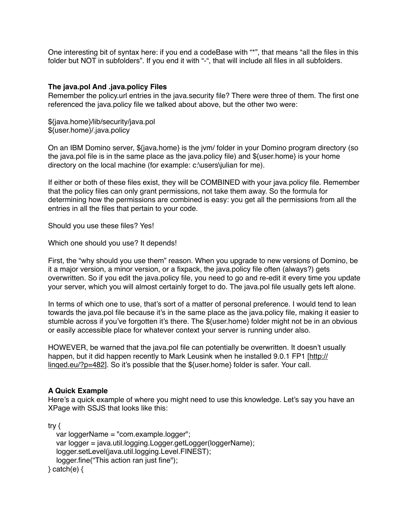One interesting bit of syntax here: if you end a codeBase with "\*", that means "all the files in this folder but NOT in subfolders". If you end it with "-", that will include all files in all subfolders.

#### **The java.pol And .java.policy Files**

Remember the policy.url entries in the java.security file? There were three of them. The first one referenced the java.policy file we talked about above, but the other two were:

\${java.home}/lib/security/java.pol \${user.home}/.java.policy

On an IBM Domino server, \${java.home} is the jvm/ folder in your Domino program directory (so the java.pol file is in the same place as the java.policy file) and \${user.home} is your home directory on the local machine (for example: c:\users\julian for me).

If either or both of these files exist, they will be COMBINED with your java.policy file. Remember that the policy files can only grant permissions, not take them away. So the formula for determining how the permissions are combined is easy: you get all the permissions from all the entries in all the files that pertain to your code.

Should you use these files? Yes!

Which one should you use? It depends!

First, the "why should you use them" reason. When you upgrade to new versions of Domino, be it a major version, a minor version, or a fixpack, the java.policy file often (always?) gets overwritten. So if you edit the java.policy file, you need to go and re-edit it every time you update your server, which you will almost certainly forget to do. The java.pol file usually gets left alone.

In terms of which one to use, that's sort of a matter of personal preference. I would tend to lean towards the java.pol file because it's in the same place as the java.policy file, making it easier to stumble across if you've forgotten it's there. The \${user.home} folder might not be in an obvious or easily accessible place for whatever context your server is running under also.

HOWEVER, be warned that the java.pol file can potentially be overwritten. It doesn't usually happen, but it did happen recently to Mark Leusink when he installed 9.0.1 FP1 [\[http://](http://linqed.eu/?p=482) [linqed.eu/?p=482\]](http://linqed.eu/?p=482). So it's possible that the \${user.home} folder is safer. Your call.

# **A Quick Example**

Here's a quick example of where you might need to use this knowledge. Let's say you have an XPage with SSJS that looks like this:

try {

```
 var loggerName = "com.example.logger";
   var logger = java.util.logging.Logger.getLogger(loggerName);
   logger.setLevel(java.util.logging.Level.FINEST);
   logger.fine("This action ran just fine");
\} catch(e) \{
```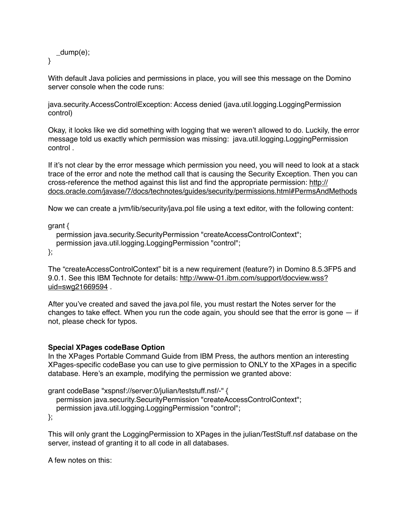```
 _dump(e);
```
}

With default Java policies and permissions in place, you will see this message on the Domino server console when the code runs:

java.security.AccessControlException: Access denied (java.util.logging.LoggingPermission control)

Okay, it looks like we did something with logging that we weren't allowed to do. Luckily, the error message told us exactly which permission was missing: java.util.logging.LoggingPermission control .

If it's not clear by the error message which permission you need, you will need to look at a stack trace of the error and note the method call that is causing the Security Exception. Then you can cross-reference the method against this list and find the appropriate permission: [http://](http://docs.oracle.com/javase/7/docs/technotes/guides/security/permissions.html#PermsAndMethods) [docs.oracle.com/javase/7/docs/technotes/guides/security/permissions.html#PermsAndMethods](http://docs.oracle.com/javase/7/docs/technotes/guides/security/permissions.html#PermsAndMethods)

Now we can create a jvm/lib/security/java.pol file using a text editor, with the following content:

grant {

permission java.security.SecurityPermission "createAccessControlContext"; permission java.util.logging.LoggingPermission "control";

};

The "createAccessControlContext" bit is a new requirement (feature?) in Domino 8.5.3FP5 and 9.0.1. See this IBM Technote for details: [http://www-01.ibm.com/support/docview.wss?](http://www-01.ibm.com/support/docview.wss?uid=swg21669594) [uid=swg21669594](http://www-01.ibm.com/support/docview.wss?uid=swg21669594) .

After you've created and saved the java.pol file, you must restart the Notes server for the changes to take effect. When you run the code again, you should see that the error is gone  $-$  if not, please check for typos.

# **Special XPages codeBase Option**

In the XPages Portable Command Guide from IBM Press, the authors mention an interesting XPages-specific codeBase you can use to give permission to ONLY to the XPages in a specific database. Here's an example, modifying the permission we granted above:

```
grant codeBase "xspnsf://server:0/julian/teststuff.nsf/-" {
  permission java.security.SecurityPermission "createAccessControlContext";
   permission java.util.logging.LoggingPermission "control";
```
};

This will only grant the LoggingPermission to XPages in the julian/TestStuff.nsf database on the server, instead of granting it to all code in all databases.

A few notes on this: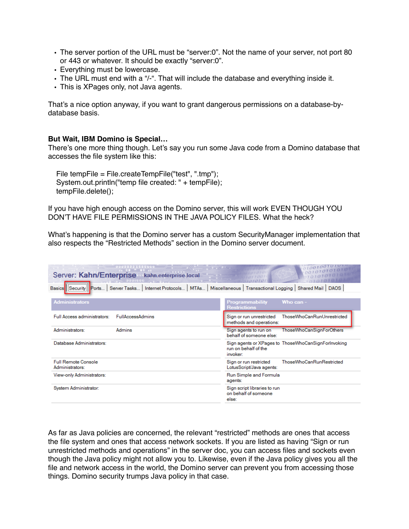- The server portion of the URL must be "server:0". Not the name of your server, not port 80 or 443 or whatever. It should be exactly "server:0".
- Everything must be lowercase.
- The URL must end with a "/-". That will include the database and everything inside it.
- This is XPages only, not Java agents.

That's a nice option anyway, if you want to grant dangerous permissions on a database-bydatabase basis.

#### **But Wait, IBM Domino is Special…**

There's one more thing though. Let's say you run some Java code from a Domino database that accesses the file system like this:

 File tempFile = File.createTempFile("test", ".tmp"); System.out.println("temp file created: " + tempFile); tempFile.delete();

If you have high enough access on the Domino server, this will work EVEN THOUGH YOU DON'T HAVE FILE PERMISSIONS IN THE JAVA POLICY FILES. What the heck?

What's happening is that the Domino server has a custom SecurityManager implementation that also respects the "Restricted Methods" section in the Domino server document.

| Server: Kahn/Enterprise<br>kahn.enterprise.local                                                                                                 |                                                                                         |  |  |
|--------------------------------------------------------------------------------------------------------------------------------------------------|-----------------------------------------------------------------------------------------|--|--|
| Miscellaneous   Transactional Logging   Shared Mail   DAOS  <br>Security Ports  <br>Server Tasks   Internet Protocols  <br>MTAs<br><b>Basics</b> |                                                                                         |  |  |
| <b>Administrators</b>                                                                                                                            | <b>Programmability</b><br>Who can -<br><b>Restrictions</b>                              |  |  |
| Full Access administrators:<br><b>FullAccessAdmins</b>                                                                                           | ThoseWhoCanRunUnrestricted<br>Sign or run unrestricted<br>methods and operations:       |  |  |
| Administrators:<br>Admins                                                                                                                        | <b>ThoseWhoCanSignForOthers</b><br>Sign agents to run on<br>behalf of someone else:     |  |  |
| Database Administrators:                                                                                                                         | Sign agents or XPages to ThoseWhoCanSignForInvoking<br>run on behalf of the<br>invoker: |  |  |
| <b>Full Remote Console</b><br>Administrators:                                                                                                    | <b>ThoseWhoCanRunRestricted</b><br>Sign or run restricted<br>LotusScript/Java agents:   |  |  |
| View-only Administrators:                                                                                                                        | Run Simple and Formula<br>agents:                                                       |  |  |
| System Administrator:                                                                                                                            | Sign script libraries to run<br>on behalf of someone<br>else:                           |  |  |

As far as Java policies are concerned, the relevant "restricted" methods are ones that access the file system and ones that access network sockets. If you are listed as having "Sign or run unrestricted methods and operations" in the server doc, you can access files and sockets even though the Java policy might not allow you to. Likewise, even if the Java policy gives you all the file and network access in the world, the Domino server can prevent you from accessing those things. Domino security trumps Java policy in that case.